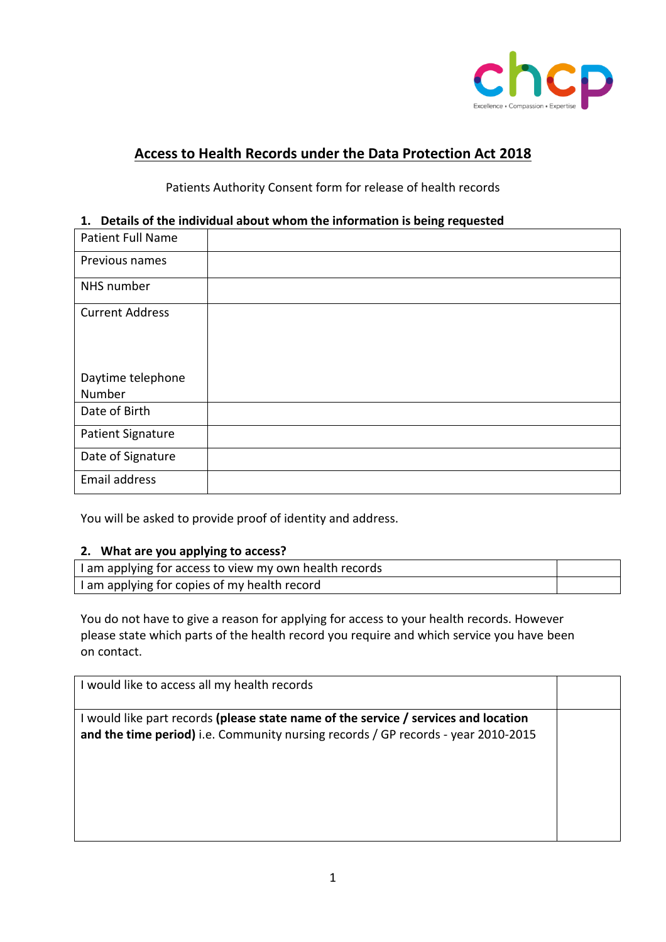

# **Access to Health Records under the Data Protection Act 2018**

# Patients Authority Consent form for release of health records

## **1. Details of the individual about whom the information is being requested**

| <b>Patient Full Name</b>    |  |
|-----------------------------|--|
| Previous names              |  |
| NHS number                  |  |
| <b>Current Address</b>      |  |
| Daytime telephone<br>Number |  |
| Date of Birth               |  |
| <b>Patient Signature</b>    |  |
| Date of Signature           |  |
| Email address               |  |

You will be asked to provide proof of identity and address.

#### **2. What are you applying to access?**

| I am applying for access to view my own health records |  |
|--------------------------------------------------------|--|
| I am applying for copies of my health record           |  |

You do not have to give a reason for applying for access to your health records. However please state which parts of the health record you require and which service you have been on contact.

I would like to access all my health records I would like part records **(please state name of the service / services and location and the time period)** i.e. Community nursing records / GP records - year 2010-2015